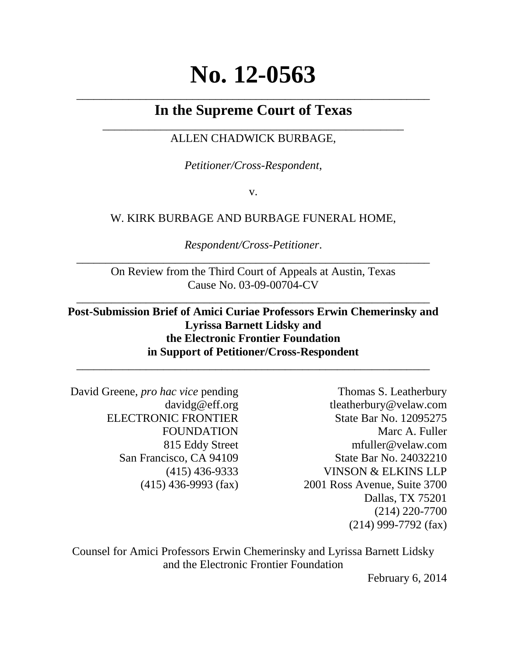# **No. 12-0563**

# \_\_\_\_\_\_\_\_\_\_\_\_\_\_\_\_\_\_\_\_\_\_\_\_\_\_\_\_\_\_\_\_\_\_\_\_\_\_\_\_\_\_\_\_\_\_\_\_\_\_\_\_\_\_\_\_\_\_\_\_\_ **In the Supreme Court of Texas**

# \_\_\_\_\_\_\_\_\_\_\_\_\_\_\_\_\_\_\_\_\_\_\_\_\_\_\_\_\_\_\_\_\_\_\_\_\_\_\_\_\_\_\_\_\_\_\_\_\_\_\_\_ ALLEN CHADWICK BURBAGE,

*Petitioner/Cross-Respondent*,

v.

# W. KIRK BURBAGE AND BURBAGE FUNERAL HOME,

*Respondent/Cross-Petitioner*. \_\_\_\_\_\_\_\_\_\_\_\_\_\_\_\_\_\_\_\_\_\_\_\_\_\_\_\_\_\_\_\_\_\_\_\_\_\_\_\_\_\_\_\_\_\_\_\_\_\_\_\_\_\_\_\_\_\_\_\_\_

On Review from the Third Court of Appeals at Austin, Texas Cause No. 03-09-00704-CV

\_\_\_\_\_\_\_\_\_\_\_\_\_\_\_\_\_\_\_\_\_\_\_\_\_\_\_\_\_\_\_\_\_\_\_\_\_\_\_\_\_\_\_\_\_\_\_\_\_\_\_\_\_\_\_\_\_\_\_\_\_

# **Post-Submission Brief of Amici Curiae Professors Erwin Chemerinsky and Lyrissa Barnett Lidsky and the Electronic Frontier Foundation in Support of Petitioner/Cross-Respondent** \_\_\_\_\_\_\_\_\_\_\_\_\_\_\_\_\_\_\_\_\_\_\_\_\_\_\_\_\_\_\_\_\_\_\_\_\_\_\_\_\_\_\_\_\_\_\_\_\_\_\_\_\_\_\_\_\_\_\_\_\_

David Greene, *pro hac vice* pending davidg@eff.org ELECTRONIC FRONTIER FOUNDATION 815 Eddy Street San Francisco, CA 94109 (415) 436-9333 (415) 436-9993 (fax)

Thomas S. Leatherbury tleatherbury@velaw.com State Bar No. 12095275 Marc A. Fuller mfuller@velaw.com State Bar No. 24032210 VINSON & ELKINS LLP 2001 Ross Avenue, Suite 3700 Dallas, TX 75201 (214) 220-7700 (214) 999-7792 (fax)

Counsel for Amici Professors Erwin Chemerinsky and Lyrissa Barnett Lidsky and the Electronic Frontier Foundation

February 6, 2014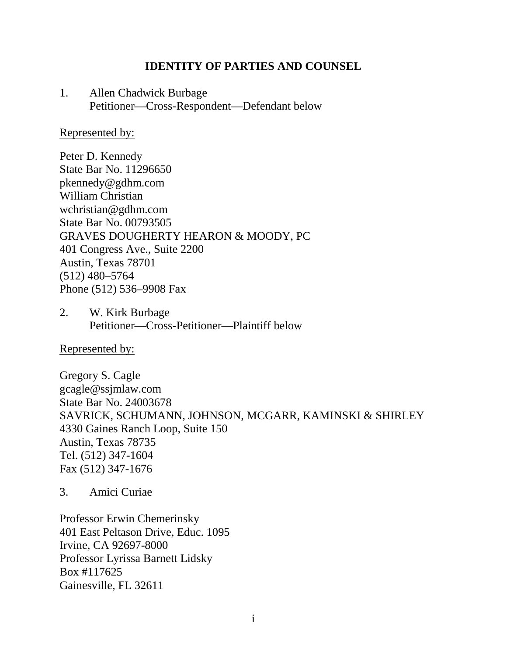### **IDENTITY OF PARTIES AND COUNSEL**

1. Allen Chadwick Burbage Petitioner—Cross-Respondent—Defendant below

#### Represented by:

Peter D. Kennedy State Bar No. 11296650 pkennedy@gdhm.com William Christian wchristian@gdhm.com State Bar No. 00793505 GRAVES DOUGHERTY HEARON & MOODY, PC 401 Congress Ave., Suite 2200 Austin, Texas 78701 (512) 480–5764 Phone (512) 536–9908 Fax

2. W. Kirk Burbage Petitioner—Cross-Petitioner—Plaintiff below

Represented by:

Gregory S. Cagle gcagle@ssjmlaw.com State Bar No. 24003678 SAVRICK, SCHUMANN, JOHNSON, MCGARR, KAMINSKI & SHIRLEY 4330 Gaines Ranch Loop, Suite 150 Austin, Texas 78735 Tel. (512) 347-1604 Fax (512) 347-1676

3. Amici Curiae

Professor Erwin Chemerinsky 401 East Peltason Drive, Educ. 1095 Irvine, CA 92697-8000 Professor Lyrissa Barnett Lidsky Box #117625 Gainesville, FL 32611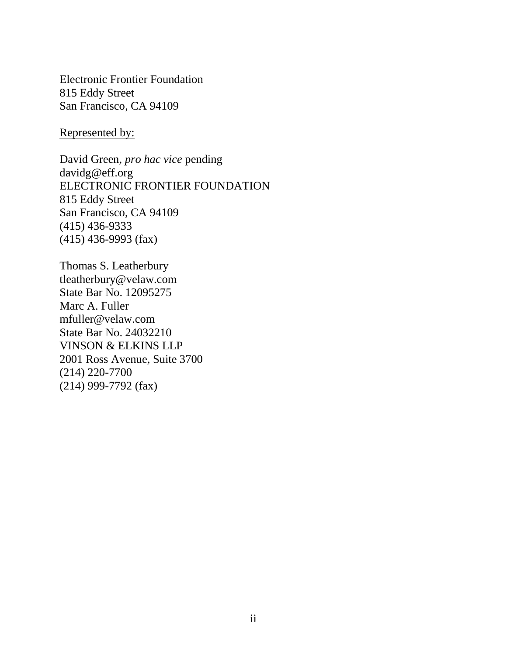Electronic Frontier Foundation 815 Eddy Street San Francisco, CA 94109

Represented by:

David Green, *pro hac vice* pending davidg@eff.org ELECTRONIC FRONTIER FOUNDATION 815 Eddy Street San Francisco, CA 94109 (415) 436-9333 (415) 436-9993 (fax)

Thomas S. Leatherbury tleatherbury@velaw.com State Bar No. 12095275 Marc A. Fuller mfuller@velaw.com State Bar No. 24032210 VINSON & ELKINS LLP 2001 Ross Avenue, Suite 3700 (214) 220-7700 (214) 999-7792 (fax)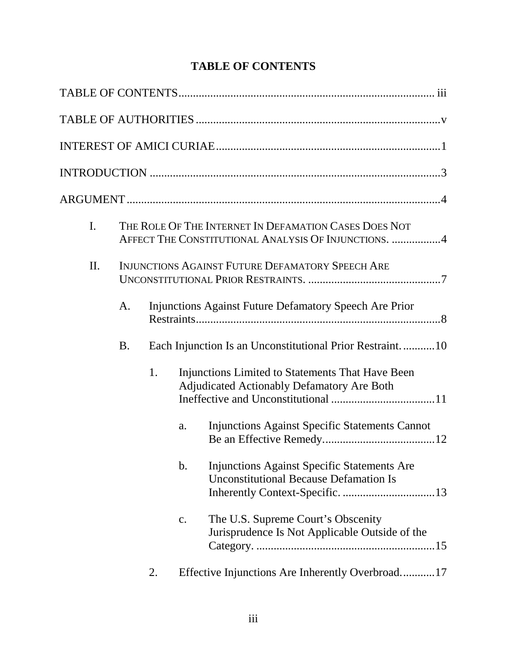# **TABLE OF CONTENTS**

| I.  |           |    | THE ROLE OF THE INTERNET IN DEFAMATION CASES DOES NOT<br>AFFECT THE CONSTITUTIONAL ANALYSIS OF INJUNCTIONS. 4        |
|-----|-----------|----|----------------------------------------------------------------------------------------------------------------------|
| II. |           |    | <b>INJUNCTIONS AGAINST FUTURE DEFAMATORY SPEECH ARE</b>                                                              |
|     | A.        |    | Injunctions Against Future Defamatory Speech Are Prior                                                               |
|     | <b>B.</b> |    | Each Injunction Is an Unconstitutional Prior Restraint10                                                             |
|     |           | 1. | Injunctions Limited to Statements That Have Been<br><b>Adjudicated Actionably Defamatory Are Both</b>                |
|     |           |    | <b>Injunctions Against Specific Statements Cannot</b><br>a.                                                          |
|     |           |    | <b>Injunctions Against Specific Statements Are</b><br>$\mathbf b$ .<br><b>Unconstitutional Because Defamation Is</b> |
|     |           |    | The U.S. Supreme Court's Obscenity<br>c.<br>Jurisprudence Is Not Applicable Outside of the                           |
|     |           | 2. | Effective Injunctions Are Inherently Overbroad17                                                                     |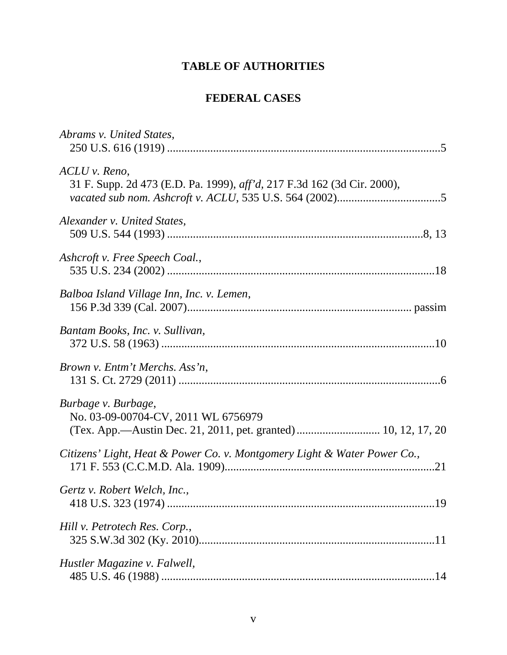# **TABLE OF AUTHORITIES**

# **FEDERAL CASES**

<span id="page-5-0"></span>

| Abrams v. United States,                                                                                                     |  |
|------------------------------------------------------------------------------------------------------------------------------|--|
| ACLU v. Reno,<br>31 F. Supp. 2d 473 (E.D. Pa. 1999), aff'd, 217 F.3d 162 (3d Cir. 2000),                                     |  |
| Alexander v. United States.                                                                                                  |  |
| Ashcroft v. Free Speech Coal.,                                                                                               |  |
| Balboa Island Village Inn, Inc. v. Lemen,                                                                                    |  |
| Bantam Books, Inc. v. Sullivan,                                                                                              |  |
| Brown v. Entm't Merchs. Ass'n,                                                                                               |  |
| Burbage v. Burbage,<br>No. 03-09-00704-CV, 2011 WL 6756979<br>(Tex. App.—Austin Dec. 21, 2011, pet. granted)  10, 12, 17, 20 |  |
| Citizens' Light, Heat & Power Co. v. Montgomery Light & Water Power Co.,                                                     |  |
| Gertz v. Robert Welch, Inc.,                                                                                                 |  |
| Hill v. Petrotech Res. Corp.,                                                                                                |  |
| Hustler Magazine v. Falwell,                                                                                                 |  |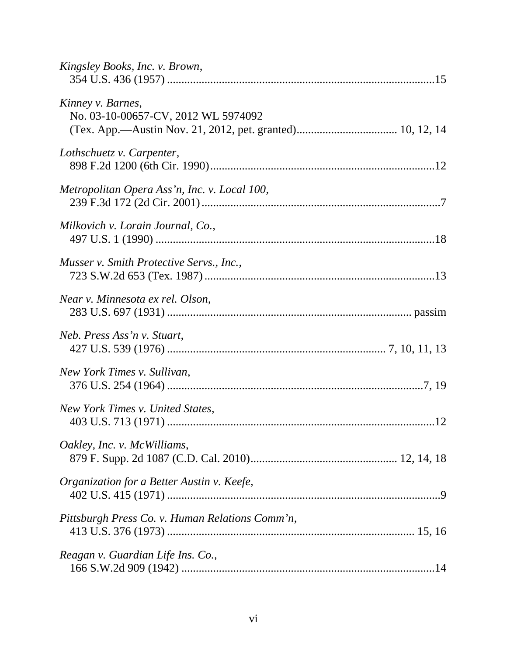| Kingsley Books, Inc. v. Brown,                           |
|----------------------------------------------------------|
| Kinney v. Barnes,<br>No. 03-10-00657-CV, 2012 WL 5974092 |
| Lothschuetz v. Carpenter,                                |
| Metropolitan Opera Ass'n, Inc. v. Local 100,             |
| Milkovich v. Lorain Journal, Co.,                        |
| Musser v. Smith Protective Servs., Inc.,                 |
| Near v. Minnesota ex rel. Olson,                         |
| Neb. Press Ass'n v. Stuart,                              |
| New York Times v. Sullivan,                              |
| New York Times v. United States,                         |
| Oakley, Inc. v. McWilliams,                              |
| Organization for a Better Austin v. Keefe,               |
| Pittsburgh Press Co. v. Human Relations Comm'n,          |
| Reagan v. Guardian Life Ins. Co.,                        |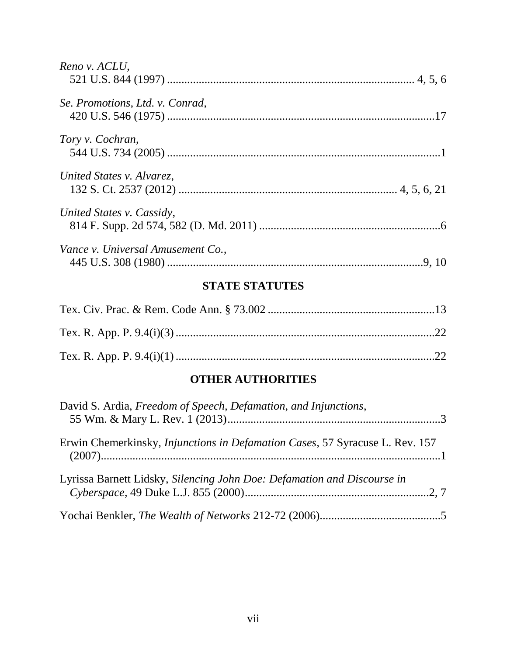| Reno v. ACLU,                     |  |
|-----------------------------------|--|
| Se. Promotions, Ltd. v. Conrad,   |  |
| Tory v. Cochran,                  |  |
| United States v. Alvarez,         |  |
| United States v. Cassidy,         |  |
| Vance v. Universal Amusement Co., |  |

# **STATE STATUTES**

# **OTHER AUTHORITIES**

| David S. Ardia, Freedom of Speech, Defamation, and Injunctions,                      |  |
|--------------------------------------------------------------------------------------|--|
| Erwin Chemerkinsky, <i>Injunctions in Defamation Cases</i> , 57 Syracuse L. Rev. 157 |  |
| Lyrissa Barnett Lidsky, Silencing John Doe: Defamation and Discourse in              |  |
|                                                                                      |  |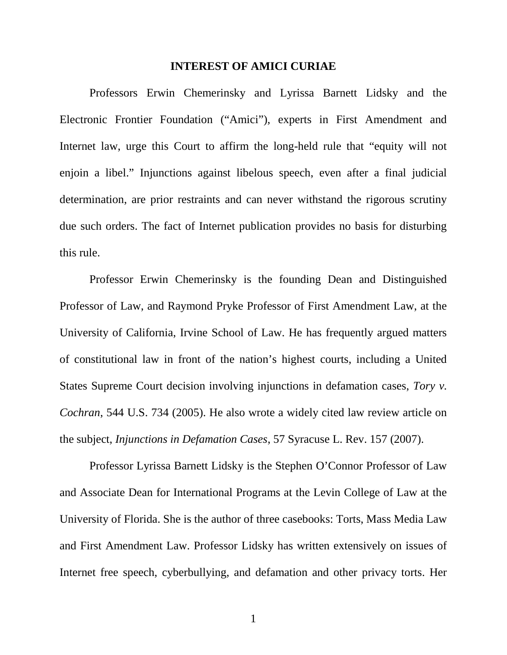#### **INTEREST OF AMICI CURIAE**

<span id="page-8-0"></span>Professors Erwin Chemerinsky and Lyrissa Barnett Lidsky and the Electronic Frontier Foundation ("Amici"), experts in First Amendment and Internet law, urge this Court to affirm the long-held rule that "equity will not enjoin a libel." Injunctions against libelous speech, even after a final judicial determination, are prior restraints and can never withstand the rigorous scrutiny due such orders. The fact of Internet publication provides no basis for disturbing this rule.

Professor Erwin Chemerinsky is the founding Dean and Distinguished Professor of Law, and Raymond Pryke Professor of First Amendment Law, at the University of California, Irvine School of Law. He has frequently argued matters of constitutional law in front of the nation's highest courts, including a United States Supreme Court decision involving injunctions in defamation cases, *Tory v. Cochran*, 544 U.S. 734 (2005). He also wrote a widely cited law review article on the subject, *Injunctions in Defamation Cases*, 57 Syracuse L. Rev. 157 (2007).

Professor Lyrissa Barnett Lidsky is the Stephen O'Connor Professor of Law and Associate Dean for International Programs at the Levin College of Law at the University of Florida. She is the author of three casebooks: Torts, Mass Media Law and First Amendment Law. Professor Lidsky has written extensively on issues of Internet free speech, cyberbullying, and defamation and other privacy torts. Her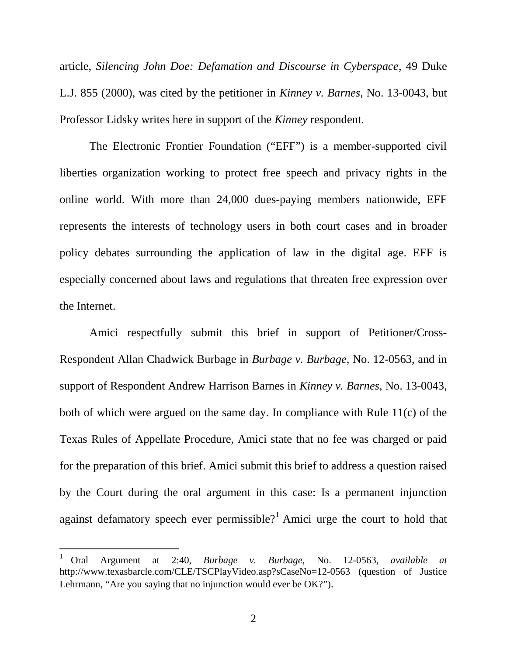article, *Silencing John Doe: Defamation and Discourse in Cyberspace*, 49 Duke L.J. 855 (2000), was cited by the petitioner in *Kinney v. Barnes*, No. 13-0043, but Professor Lidsky writes here in support of the *Kinney* respondent.

The Electronic Frontier Foundation ("EFF") is a member-supported civil liberties organization working to protect free speech and privacy rights in the online world. With more than 24,000 dues-paying members nationwide, EFF represents the interests of technology users in both court cases and in broader policy debates surrounding the application of law in the digital age. EFF is especially concerned about laws and regulations that threaten free expression over the Internet.

Amici respectfully submit this brief in support of Petitioner/Cross-Respondent Allan Chadwick Burbage in *Burbage v. Burbage*, No. 12-0563, and in support of Respondent Andrew Harrison Barnes in *Kinney v. Barnes*, No. 13-0043, both of which were argued on the same day. In compliance with Rule 11(c) of the Texas Rules of Appellate Procedure, Amici state that no fee was charged or paid for the preparation of this brief. Amici submit this brief to address a question raised by the Court during the oral argument in this case: Is a permanent injunction against defamatory speech ever permissible?<sup>[1](#page-9-0)</sup> Amici urge the court to hold that

<span id="page-9-0"></span><sup>1</sup> Oral Argument at 2:40, *Burbage v. Burbage*, No. 12-0563, *available at* http://www.texasbarcle.com/CLE/TSCPlayVideo.asp?sCaseNo=12-0563 (question of Justice Lehrmann, "Are you saying that no injunction would ever be OK?").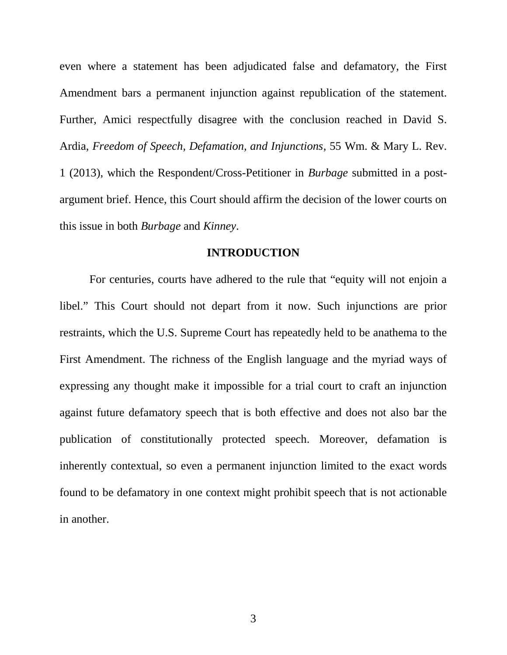<span id="page-10-0"></span>even where a statement has been adjudicated false and defamatory, the First Amendment bars a permanent injunction against republication of the statement. Further, Amici respectfully disagree with the conclusion reached in David S. Ardia, *Freedom of Speech, Defamation, and Injunctions*, 55 Wm. & Mary L. Rev. 1 (2013), which the Respondent/Cross-Petitioner in *Burbage* submitted in a postargument brief. Hence, this Court should affirm the decision of the lower courts on this issue in both *Burbage* and *Kinney*.

#### **INTRODUCTION**

For centuries, courts have adhered to the rule that "equity will not enjoin a libel." This Court should not depart from it now. Such injunctions are prior restraints, which the U.S. Supreme Court has repeatedly held to be anathema to the First Amendment. The richness of the English language and the myriad ways of expressing any thought make it impossible for a trial court to craft an injunction against future defamatory speech that is both effective and does not also bar the publication of constitutionally protected speech. Moreover, defamation is inherently contextual, so even a permanent injunction limited to the exact words found to be defamatory in one context might prohibit speech that is not actionable in another.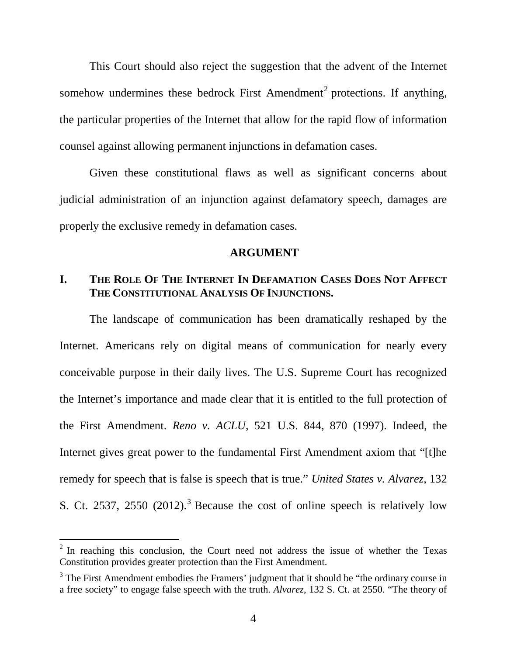<span id="page-11-1"></span><span id="page-11-0"></span>This Court should also reject the suggestion that the advent of the Internet somehow undermines these bedrock First Amendment<sup>[2](#page-11-2)</sup> protections. If anything, the particular properties of the Internet that allow for the rapid flow of information counsel against allowing permanent injunctions in defamation cases.

Given these constitutional flaws as well as significant concerns about judicial administration of an injunction against defamatory speech, damages are properly the exclusive remedy in defamation cases.

#### **ARGUMENT**

## **I. THE ROLE OF THE INTERNET IN DEFAMATION CASES DOES NOT AFFECT THE CONSTITUTIONAL ANALYSIS OF INJUNCTIONS.**

The landscape of communication has been dramatically reshaped by the Internet. Americans rely on digital means of communication for nearly every conceivable purpose in their daily lives. The U.S. Supreme Court has recognized the Internet's importance and made clear that it is entitled to the full protection of the First Amendment. *Reno v. ACLU*, 521 U.S. 844, 870 (1997). Indeed, the Internet gives great power to the fundamental First Amendment axiom that "[t]he remedy for speech that is false is speech that is true." *United States v. Alvarez*, 132 S. Ct. 25[3](#page-11-3)7, 2550  $(2012)$ .<sup>3</sup> Because the cost of online speech is relatively low

<span id="page-11-2"></span> $2$  In reaching this conclusion, the Court need not address the issue of whether the Texas Constitution provides greater protection than the First Amendment.

<span id="page-11-3"></span> $3$  The First Amendment embodies the Framers' judgment that it should be "the ordinary course in a free society" to engage false speech with the truth. *Alvarez*, 132 S. Ct. at 2550*.* "The theory of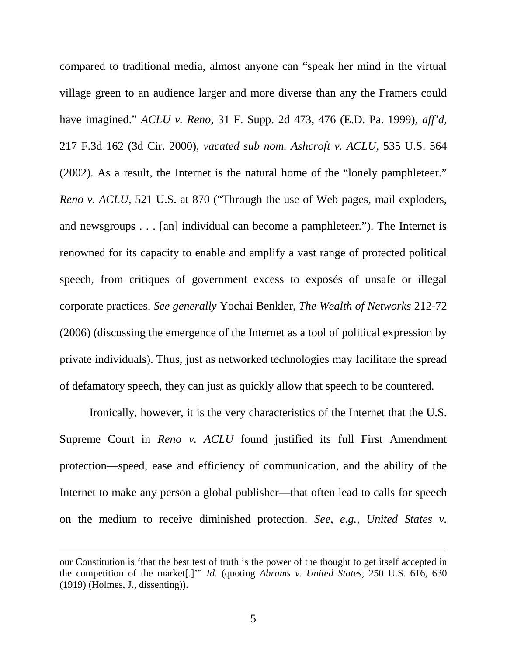compared to traditional media, almost anyone can "speak her mind in the virtual village green to an audience larger and more diverse than any the Framers could have imagined." *ACLU v. Reno*, 31 F. Supp. 2d 473, 476 (E.D. Pa. 1999), *aff'd,* 217 F.3d 162 (3d Cir. 2000), *vacated sub nom. Ashcroft v. ACLU*, 535 U.S. 564 (2002). As a result, the Internet is the natural home of the "lonely pamphleteer." *Reno v. ACLU*, 521 U.S. at 870 ("Through the use of Web pages, mail exploders, and newsgroups . . . [an] individual can become a pamphleteer."). The Internet is renowned for its capacity to enable and amplify a vast range of protected political speech, from critiques of government excess to exposés of unsafe or illegal corporate practices. *See generally* Yochai Benkler, *The Wealth of Networks* 212-72 (2006) (discussing the emergence of the Internet as a tool of political expression by private individuals). Thus, just as networked technologies may facilitate the spread of defamatory speech, they can just as quickly allow that speech to be countered.

Ironically, however, it is the very characteristics of the Internet that the U.S. Supreme Court in *Reno v. ACLU* found justified its full First Amendment protection—speed, ease and efficiency of communication, and the ability of the Internet to make any person a global publisher—that often lead to calls for speech on the medium to receive diminished protection. *See, e.g., United States v.*

our Constitution is 'that the best test of truth is the power of the thought to get itself accepted in the competition of the market[.]'" *Id.* (quoting *Abrams v. United States,* 250 U.S. 616, 630 (1919) (Holmes, J., dissenting)).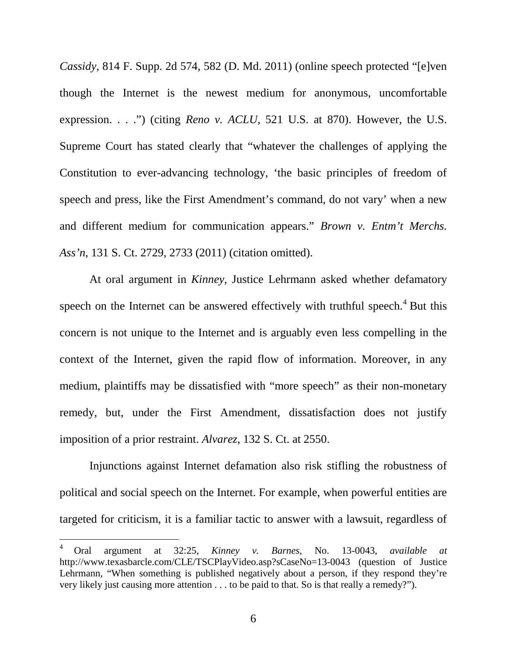*Cassidy*, 814 F. Supp. 2d 574, 582 (D. Md. 2011) (online speech protected "[e]ven though the Internet is the newest medium for anonymous, uncomfortable expression. . . .") (citing *Reno v. ACLU*, 521 U.S. at 870). However, the U.S. Supreme Court has stated clearly that "whatever the challenges of applying the Constitution to ever-advancing technology, 'the basic principles of freedom of speech and press, like the First Amendment's command, do not vary' when a new and different medium for communication appears." *Brown v. Entm't Merchs. Ass'n*, 131 S. Ct. 2729, 2733 (2011) (citation omitted).

At oral argument in *Kinney*, Justice Lehrmann asked whether defamatory speech on the Internet can be answered effectively with truthful speech.<sup>[4](#page-13-0)</sup> But this concern is not unique to the Internet and is arguably even less compelling in the context of the Internet, given the rapid flow of information. Moreover, in any medium, plaintiffs may be dissatisfied with "more speech" as their non-monetary remedy, but, under the First Amendment, dissatisfaction does not justify imposition of a prior restraint. *Alvarez*, 132 S. Ct. at 2550.

Injunctions against Internet defamation also risk stifling the robustness of political and social speech on the Internet. For example, when powerful entities are targeted for criticism, it is a familiar tactic to answer with a lawsuit, regardless of

<span id="page-13-0"></span><sup>4</sup> Oral argument at 32:25, *Kinney v. Barnes*, No. 13-0043, *available at* http://www.texasbarcle.com/CLE/TSCPlayVideo.asp?sCaseNo=13-0043 (question of Justice Lehrmann, "When something is published negatively about a person, if they respond they're very likely just causing more attention . . . to be paid to that. So is that really a remedy?").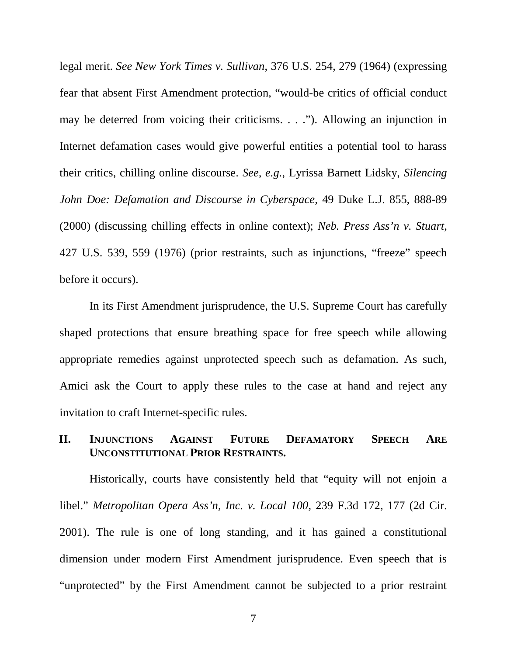<span id="page-14-0"></span>legal merit. *See New York Times v. Sullivan*, 376 U.S. 254, 279 (1964) (expressing fear that absent First Amendment protection, "would-be critics of official conduct may be deterred from voicing their criticisms. . . ."). Allowing an injunction in Internet defamation cases would give powerful entities a potential tool to harass their critics, chilling online discourse. *See, e.g.,* Lyrissa Barnett Lidsky, *Silencing John Doe: Defamation and Discourse in Cyberspace*, 49 Duke L.J. 855, 888-89 (2000) (discussing chilling effects in online context); *Neb. Press Ass'n v. Stuart,* 427 U.S. 539, 559 (1976) (prior restraints, such as injunctions, "freeze" speech before it occurs).

In its First Amendment jurisprudence, the U.S. Supreme Court has carefully shaped protections that ensure breathing space for free speech while allowing appropriate remedies against unprotected speech such as defamation. As such, Amici ask the Court to apply these rules to the case at hand and reject any invitation to craft Internet-specific rules.

## **II. INJUNCTIONS AGAINST FUTURE DEFAMATORY SPEECH ARE UNCONSTITUTIONAL PRIOR RESTRAINTS.**

Historically, courts have consistently held that "equity will not enjoin a libel." *Metropolitan Opera Ass'n, Inc. v. Local 100*, 239 F.3d 172, 177 (2d Cir. 2001). The rule is one of long standing, and it has gained a constitutional dimension under modern First Amendment jurisprudence. Even speech that is "unprotected" by the First Amendment cannot be subjected to a prior restraint

7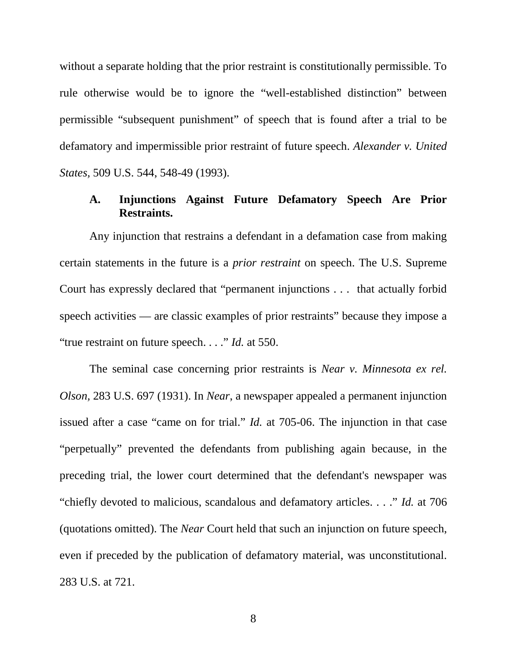<span id="page-15-0"></span>without a separate holding that the prior restraint is constitutionally permissible. To rule otherwise would be to ignore the "well-established distinction" between permissible "subsequent punishment" of speech that is found after a trial to be defamatory and impermissible prior restraint of future speech. *Alexander v. United States,* 509 U.S. 544, 548-49 (1993).

## **A. Injunctions Against Future Defamatory Speech Are Prior Restraints.**

Any injunction that restrains a defendant in a defamation case from making certain statements in the future is a *prior restraint* on speech. The U.S. Supreme Court has expressly declared that "permanent injunctions . . . that actually forbid speech activities — are classic examples of prior restraints" because they impose a "true restraint on future speech. . . ." *Id.* at 550.

The seminal case concerning prior restraints is *Near v. Minnesota ex rel. Olson,* 283 U.S. 697 (1931). In *Near*, a newspaper appealed a permanent injunction issued after a case "came on for trial." *Id.* at 705-06. The injunction in that case "perpetually" prevented the defendants from publishing again because, in the preceding trial, the lower court determined that the defendant's newspaper was "chiefly devoted to malicious, scandalous and defamatory articles. . . ." *Id.* at 706 (quotations omitted). The *Near* Court held that such an injunction on future speech, even if preceded by the publication of defamatory material, was unconstitutional. 283 U.S. at 721.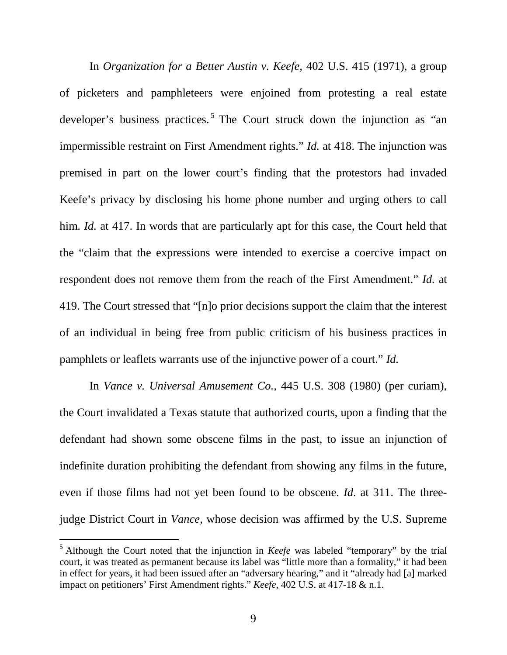In *Organization for a Better Austin v. Keefe,* 402 U.S. 415 (1971), a group of picketers and pamphleteers were enjoined from protesting a real estate developer's business practices.<sup>[5](#page-16-0)</sup> The Court struck down the injunction as "an impermissible restraint on First Amendment rights." *Id.* at 418. The injunction was premised in part on the lower court's finding that the protestors had invaded Keefe's privacy by disclosing his home phone number and urging others to call him. *Id.* at 417. In words that are particularly apt for this case, the Court held that the "claim that the expressions were intended to exercise a coercive impact on respondent does not remove them from the reach of the First Amendment." *Id.* at 419. The Court stressed that "[n]o prior decisions support the claim that the interest of an individual in being free from public criticism of his business practices in pamphlets or leaflets warrants use of the injunctive power of a court." *Id.*

In *Vance v. Universal Amusement Co.,* 445 U.S. 308 (1980) (per curiam), the Court invalidated a Texas statute that authorized courts, upon a finding that the defendant had shown some obscene films in the past, to issue an injunction of indefinite duration prohibiting the defendant from showing any films in the future, even if those films had not yet been found to be obscene. *Id*. at 311. The threejudge District Court in *Vance*, whose decision was affirmed by the U.S. Supreme

<span id="page-16-0"></span><sup>5</sup> Although the Court noted that the injunction in *Keefe* was labeled "temporary" by the trial court, it was treated as permanent because its label was "little more than a formality," it had been in effect for years, it had been issued after an "adversary hearing," and it "already had [a] marked impact on petitioners' First Amendment rights." *Keefe*, 402 U.S. at 417-18 & n.1.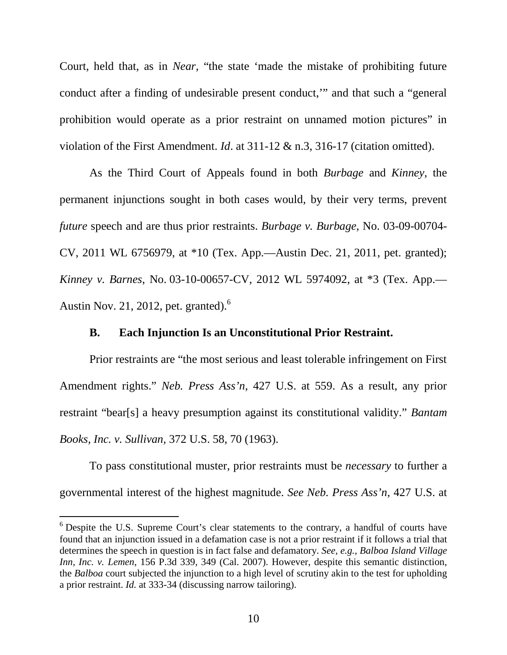<span id="page-17-0"></span>Court, held that, as in *Near*, "the state 'made the mistake of prohibiting future conduct after a finding of undesirable present conduct,'" and that such a "general prohibition would operate as a prior restraint on unnamed motion pictures" in violation of the First Amendment. *Id*. at 311-12 & n.3, 316-17 (citation omitted).

As the Third Court of Appeals found in both *Burbage* and *Kinney*, the permanent injunctions sought in both cases would, by their very terms, prevent *future* speech and are thus prior restraints. *Burbage v. Burbage*, No. 03-09-00704- CV, 2011 WL 6756979, at \*10 (Tex. App.—Austin Dec. 21, 2011, pet. granted); *Kinney v. Barnes*, No. 03-10-00657-CV, 2012 WL 5974092, at \*3 (Tex. App.— Austin Nov. 21, 2012, pet. granted). $<sup>6</sup>$  $<sup>6</sup>$  $<sup>6</sup>$ </sup>

#### **B. Each Injunction Is an Unconstitutional Prior Restraint.**

Prior restraints are "the most serious and least tolerable infringement on First Amendment rights." *Neb. Press Ass'n*, 427 U.S. at 559. As a result, any prior restraint "bear[s] a heavy presumption against its constitutional validity." *Bantam Books, Inc. v. Sullivan,* 372 U.S. 58, 70 (1963).

To pass constitutional muster, prior restraints must be *necessary* to further a governmental interest of the highest magnitude. *See Neb. Press Ass'n*, 427 U.S. at

<span id="page-17-1"></span><sup>6</sup> Despite the U.S. Supreme Court's clear statements to the contrary, a handful of courts have found that an injunction issued in a defamation case is not a prior restraint if it follows a trial that determines the speech in question is in fact false and defamatory. *See, e.g., Balboa Island Village Inn, Inc. v. Lemen*, 156 P.3d 339, 349 (Cal. 2007). However, despite this semantic distinction, the *Balboa* court subjected the injunction to a high level of scrutiny akin to the test for upholding a prior restraint. *Id.* at 333-34 (discussing narrow tailoring).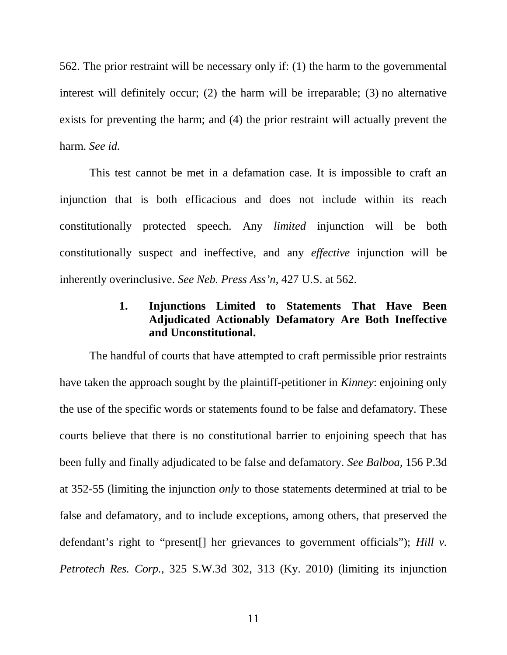<span id="page-18-0"></span>562. The prior restraint will be necessary only if: (1) the harm to the governmental interest will definitely occur; (2) the harm will be irreparable; (3) no alternative exists for preventing the harm; and (4) the prior restraint will actually prevent the harm. *See id.*

This test cannot be met in a defamation case. It is impossible to craft an injunction that is both efficacious and does not include within its reach constitutionally protected speech. Any *limited* injunction will be both constitutionally suspect and ineffective, and any *effective* injunction will be inherently overinclusive. *See Neb. Press Ass'n*, 427 U.S. at 562.

# **1. Injunctions Limited to Statements That Have Been Adjudicated Actionably Defamatory Are Both Ineffective and Unconstitutional.**

The handful of courts that have attempted to craft permissible prior restraints have taken the approach sought by the plaintiff-petitioner in *Kinney*: enjoining only the use of the specific words or statements found to be false and defamatory. These courts believe that there is no constitutional barrier to enjoining speech that has been fully and finally adjudicated to be false and defamatory. *See Balboa*, 156 P.3d at 352-55 (limiting the injunction *only* to those statements determined at trial to be false and defamatory, and to include exceptions, among others, that preserved the defendant's right to "present[] her grievances to government officials"); *Hill v. Petrotech Res. Corp.*, 325 S.W.3d 302, 313 (Ky. 2010) (limiting its injunction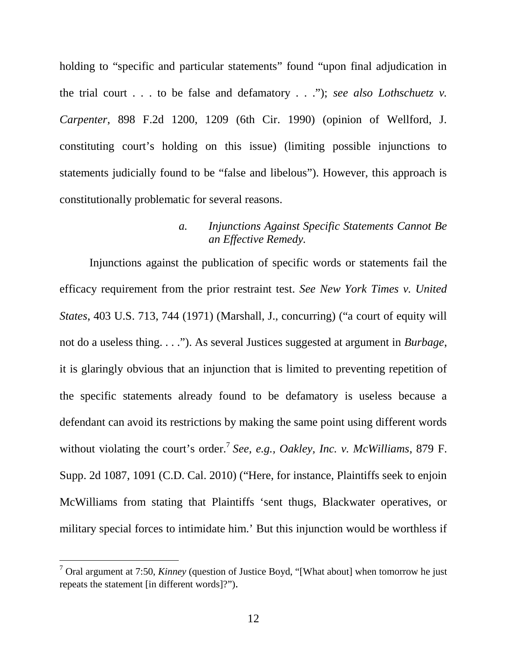<span id="page-19-0"></span>holding to "specific and particular statements" found "upon final adjudication in the trial court . . . to be false and defamatory . . ."); *see also Lothschuetz v. Carpenter*, 898 F.2d 1200, 1209 (6th Cir. 1990) (opinion of Wellford, J. constituting court's holding on this issue) (limiting possible injunctions to statements judicially found to be "false and libelous"). However, this approach is constitutionally problematic for several reasons.

#### *a. Injunctions Against Specific Statements Cannot Be an Effective Remedy.*

Injunctions against the publication of specific words or statements fail the efficacy requirement from the prior restraint test. *See New York Times v. United States*, 403 U.S. 713, 744 (1971) (Marshall, J., concurring) ("a court of equity will not do a useless thing. . . ."). As several Justices suggested at argument in *Burbage*, it is glaringly obvious that an injunction that is limited to preventing repetition of the specific statements already found to be defamatory is useless because a defendant can avoid its restrictions by making the same point using different words without violating the court's order.<sup>[7](#page-19-1)</sup> See, e.g., Oakley, Inc. v. McWilliams, 879 F. Supp. 2d 1087, 1091 (C.D. Cal. 2010) ("Here, for instance, Plaintiffs seek to enjoin McWilliams from stating that Plaintiffs 'sent thugs, Blackwater operatives, or military special forces to intimidate him.' But this injunction would be worthless if

<span id="page-19-1"></span><sup>7</sup> Oral argument at 7:50, *Kinney* (question of Justice Boyd, "[What about] when tomorrow he just repeats the statement [in different words]?").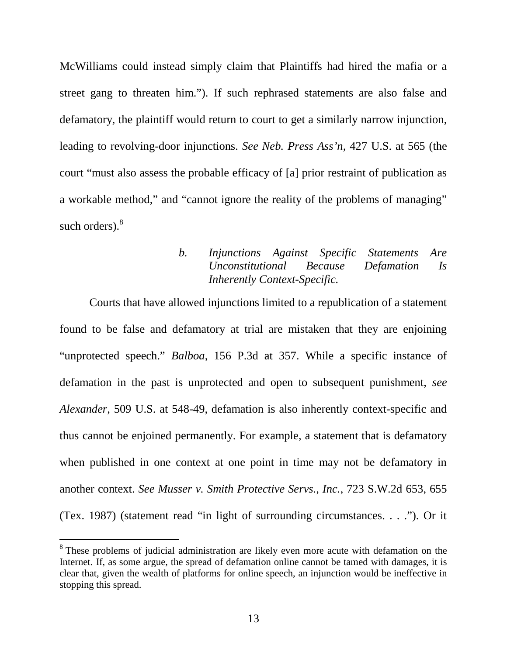<span id="page-20-0"></span>McWilliams could instead simply claim that Plaintiffs had hired the mafia or a street gang to threaten him."). If such rephrased statements are also false and defamatory, the plaintiff would return to court to get a similarly narrow injunction, leading to revolving-door injunctions. *See Neb. Press Ass'n,* 427 U.S. at 565 (the court "must also assess the probable efficacy of [a] prior restraint of publication as a workable method," and "cannot ignore the reality of the problems of managing" such orders).<sup>[8](#page-20-1)</sup>

# *b. Injunctions Against Specific Statements Are Unconstitutional Because Defamation Is Inherently Context-Specific.*

Courts that have allowed injunctions limited to a republication of a statement found to be false and defamatory at trial are mistaken that they are enjoining "unprotected speech." *Balboa*, 156 P.3d at 357. While a specific instance of defamation in the past is unprotected and open to subsequent punishment, *see Alexander*, 509 U.S. at 548-49, defamation is also inherently context-specific and thus cannot be enjoined permanently. For example, a statement that is defamatory when published in one context at one point in time may not be defamatory in another context. *See Musser v. Smith Protective Servs., Inc.*, 723 S.W.2d 653, 655 (Tex. 1987) (statement read "in light of surrounding circumstances. . . ."). Or it

<span id="page-20-1"></span><sup>&</sup>lt;sup>8</sup> These problems of judicial administration are likely even more acute with defamation on the Internet. If, as some argue, the spread of defamation online cannot be tamed with damages, it is clear that, given the wealth of platforms for online speech, an injunction would be ineffective in stopping this spread.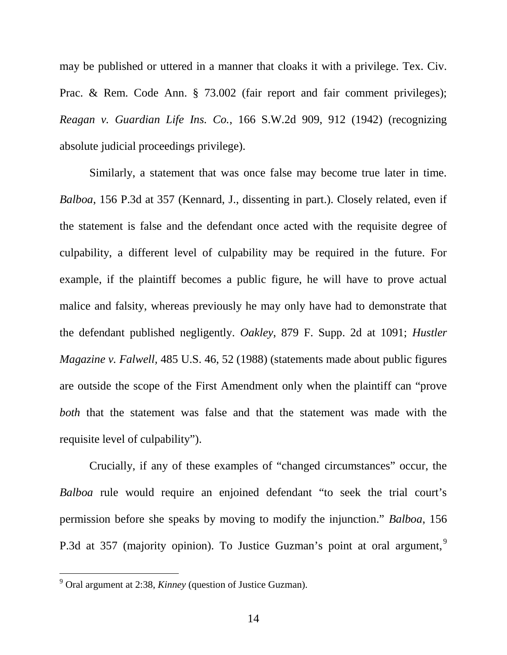may be published or uttered in a manner that cloaks it with a privilege. Tex. Civ. Prac. & Rem. Code Ann. § 73.002 (fair report and fair comment privileges); *Reagan v. Guardian Life Ins. Co.*, 166 S.W.2d 909, 912 (1942) (recognizing absolute judicial proceedings privilege).

Similarly, a statement that was once false may become true later in time. *Balboa*, 156 P.3d at 357 (Kennard, J., dissenting in part.). Closely related, even if the statement is false and the defendant once acted with the requisite degree of culpability, a different level of culpability may be required in the future. For example, if the plaintiff becomes a public figure, he will have to prove actual malice and falsity, whereas previously he may only have had to demonstrate that the defendant published negligently. *Oakley*, 879 F. Supp. 2d at 1091; *Hustler Magazine v. Falwell,* 485 U.S. 46, 52 (1988) (statements made about public figures are outside the scope of the First Amendment only when the plaintiff can "prove *both* that the statement was false and that the statement was made with the requisite level of culpability").

Crucially, if any of these examples of "changed circumstances" occur, the *Balboa* rule would require an enjoined defendant "to seek the trial court's permission before she speaks by moving to modify the injunction." *Balboa*, 156 P.3d at 357 (majority opinion). To Justice Guzman's point at oral argument,<sup>[9](#page-21-0)</sup>

<span id="page-21-0"></span><sup>9</sup> Oral argument at 2:38, *Kinney* (question of Justice Guzman).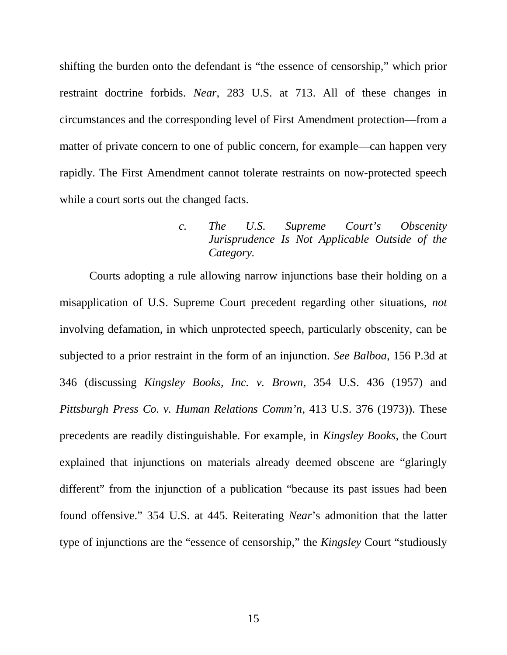<span id="page-22-0"></span>shifting the burden onto the defendant is "the essence of censorship," which prior restraint doctrine forbids. *Near*, 283 U.S. at 713. All of these changes in circumstances and the corresponding level of First Amendment protection—from a matter of private concern to one of public concern, for example—can happen very rapidly. The First Amendment cannot tolerate restraints on now-protected speech while a court sorts out the changed facts.

### *c. The U.S. Supreme Court's Obscenity Jurisprudence Is Not Applicable Outside of the Category.*

Courts adopting a rule allowing narrow injunctions base their holding on a misapplication of U.S. Supreme Court precedent regarding other situations, *not* involving defamation, in which unprotected speech, particularly obscenity, can be subjected to a prior restraint in the form of an injunction. *See Balboa*, 156 P.3d at 346 (discussing *Kingsley Books, Inc. v. Brown*, 354 U.S. 436 (1957) and *Pittsburgh Press Co. v. Human Relations Comm'n*, 413 U.S. 376 (1973)). These precedents are readily distinguishable. For example, in *Kingsley Books*, the Court explained that injunctions on materials already deemed obscene are "glaringly different" from the injunction of a publication "because its past issues had been found offensive." 354 U.S. at 445. Reiterating *Near*'s admonition that the latter type of injunctions are the "essence of censorship," the *Kingsley* Court "studiously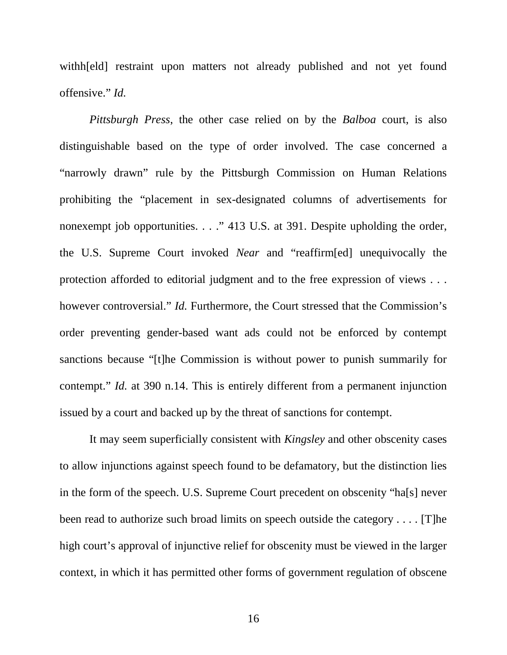withh[eld] restraint upon matters not already published and not yet found offensive." *Id.*

*Pittsburgh Press*, the other case relied on by the *Balboa* court, is also distinguishable based on the type of order involved. The case concerned a "narrowly drawn" rule by the Pittsburgh Commission on Human Relations prohibiting the "placement in sex-designated columns of advertisements for nonexempt job opportunities. . . ." 413 U.S. at 391. Despite upholding the order, the U.S. Supreme Court invoked *Near* and "reaffirm[ed] unequivocally the protection afforded to editorial judgment and to the free expression of views . . . however controversial." *Id.* Furthermore, the Court stressed that the Commission's order preventing gender-based want ads could not be enforced by contempt sanctions because "[t]he Commission is without power to punish summarily for contempt." *Id.* at 390 n.14. This is entirely different from a permanent injunction issued by a court and backed up by the threat of sanctions for contempt.

It may seem superficially consistent with *Kingsley* and other obscenity cases to allow injunctions against speech found to be defamatory, but the distinction lies in the form of the speech. U.S. Supreme Court precedent on obscenity "ha[s] never been read to authorize such broad limits on speech outside the category . . . . [T]he high court's approval of injunctive relief for obscenity must be viewed in the larger context, in which it has permitted other forms of government regulation of obscene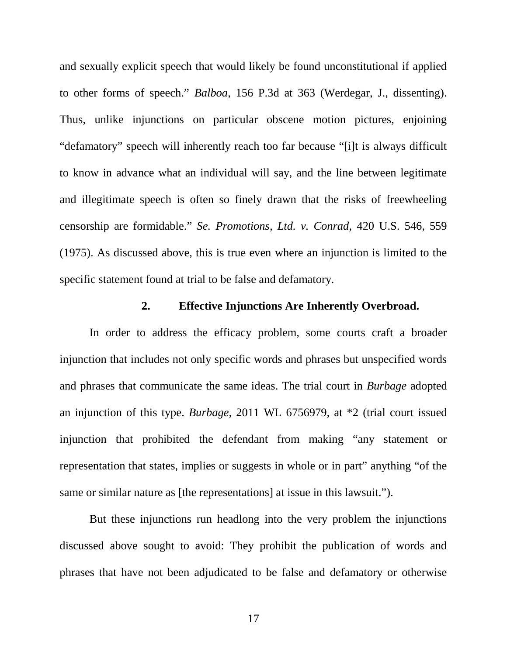<span id="page-24-0"></span>and sexually explicit speech that would likely be found unconstitutional if applied to other forms of speech." *Balboa*, 156 P.3d at 363 (Werdegar, J., dissenting). Thus, unlike injunctions on particular obscene motion pictures, enjoining "defamatory" speech will inherently reach too far because "[i]t is always difficult to know in advance what an individual will say, and the line between legitimate and illegitimate speech is often so finely drawn that the risks of freewheeling censorship are formidable." *Se. Promotions, Ltd. v. Conrad,* 420 U.S. 546, 559 (1975). As discussed above, this is true even where an injunction is limited to the specific statement found at trial to be false and defamatory.

### **2. Effective Injunctions Are Inherently Overbroad.**

In order to address the efficacy problem, some courts craft a broader injunction that includes not only specific words and phrases but unspecified words and phrases that communicate the same ideas. The trial court in *Burbage* adopted an injunction of this type. *Burbage*, 2011 WL 6756979, at \*2 (trial court issued injunction that prohibited the defendant from making "any statement or representation that states, implies or suggests in whole or in part" anything "of the same or similar nature as [the representations] at issue in this lawsuit.").

But these injunctions run headlong into the very problem the injunctions discussed above sought to avoid: They prohibit the publication of words and phrases that have not been adjudicated to be false and defamatory or otherwise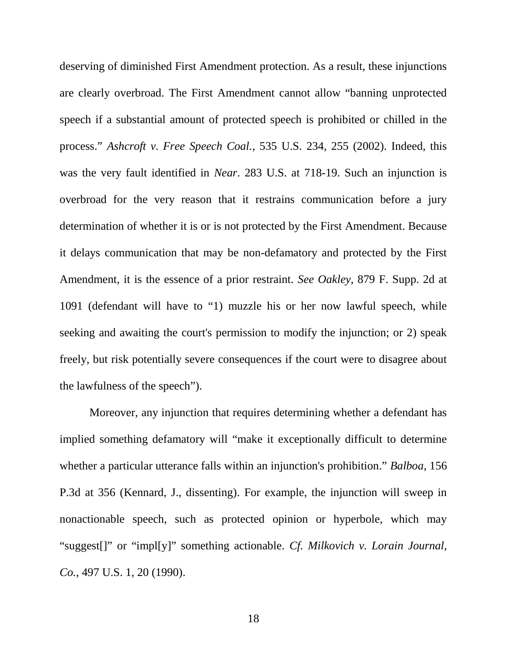deserving of diminished First Amendment protection. As a result, these injunctions are clearly overbroad. The First Amendment cannot allow "banning unprotected speech if a substantial amount of protected speech is prohibited or chilled in the process." *Ashcroft v. Free Speech Coal.*, 535 U.S. 234, 255 (2002). Indeed, this was the very fault identified in *Near*. 283 U.S. at 718-19. Such an injunction is overbroad for the very reason that it restrains communication before a jury determination of whether it is or is not protected by the First Amendment. Because it delays communication that may be non-defamatory and protected by the First Amendment, it is the essence of a prior restraint. *See Oakley*, 879 F. Supp. 2d at 1091 (defendant will have to "1) muzzle his or her now lawful speech, while seeking and awaiting the court's permission to modify the injunction; or 2) speak freely, but risk potentially severe consequences if the court were to disagree about the lawfulness of the speech").

Moreover, any injunction that requires determining whether a defendant has implied something defamatory will "make it exceptionally difficult to determine whether a particular utterance falls within an injunction's prohibition." *Balboa*, 156 P.3d at 356 (Kennard, J., dissenting). For example, the injunction will sweep in nonactionable speech, such as protected opinion or hyperbole, which may "suggest[]" or "impl[y]" something actionable. *Cf. Milkovich v. Lorain Journal, Co.*, 497 U.S. 1, 20 (1990).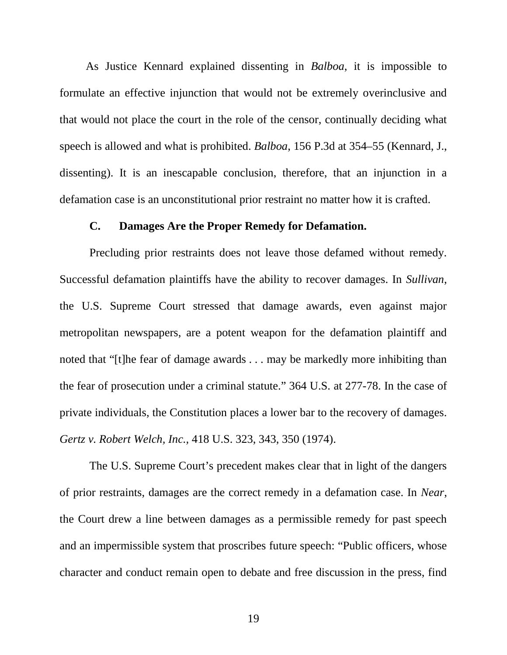<span id="page-26-0"></span>As Justice Kennard explained dissenting in *Balboa*, it is impossible to formulate an effective injunction that would not be extremely overinclusive and that would not place the court in the role of the censor, continually deciding what speech is allowed and what is prohibited. *Balboa*, 156 P.3d at 354–55 (Kennard, J., dissenting). It is an inescapable conclusion, therefore, that an injunction in a defamation case is an unconstitutional prior restraint no matter how it is crafted.

#### **C. Damages Are the Proper Remedy for Defamation.**

Precluding prior restraints does not leave those defamed without remedy. Successful defamation plaintiffs have the ability to recover damages. In *Sullivan*, the U.S. Supreme Court stressed that damage awards, even against major metropolitan newspapers, are a potent weapon for the defamation plaintiff and noted that "[t]he fear of damage awards . . . may be markedly more inhibiting than the fear of prosecution under a criminal statute." 364 U.S. at 277-78. In the case of private individuals, the Constitution places a lower bar to the recovery of damages. *Gertz v. Robert Welch, Inc.,* 418 U.S. 323, 343, 350 (1974).

The U.S. Supreme Court's precedent makes clear that in light of the dangers of prior restraints, damages are the correct remedy in a defamation case. In *Near*, the Court drew a line between damages as a permissible remedy for past speech and an impermissible system that proscribes future speech: "Public officers, whose character and conduct remain open to debate and free discussion in the press, find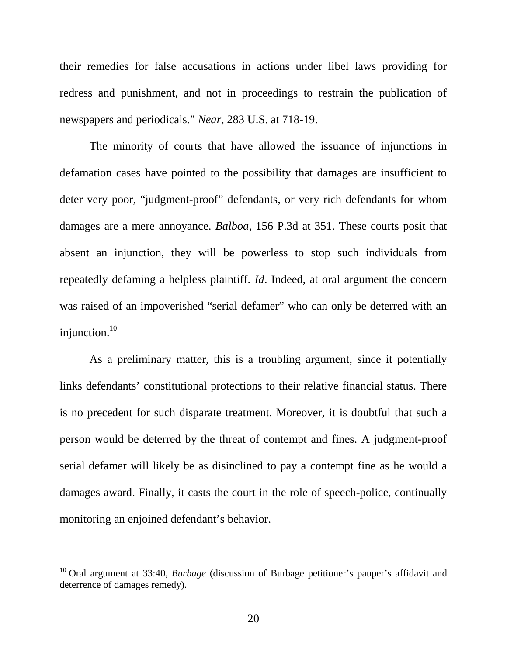their remedies for false accusations in actions under libel laws providing for redress and punishment, and not in proceedings to restrain the publication of newspapers and periodicals." *Near*, 283 U.S. at 718-19.

The minority of courts that have allowed the issuance of injunctions in defamation cases have pointed to the possibility that damages are insufficient to deter very poor, "judgment-proof" defendants, or very rich defendants for whom damages are a mere annoyance. *Balboa*, 156 P.3d at 351. These courts posit that absent an injunction, they will be powerless to stop such individuals from repeatedly defaming a helpless plaintiff. *Id*. Indeed, at oral argument the concern was raised of an impoverished "serial defamer" who can only be deterred with an injunction. $10$ 

As a preliminary matter, this is a troubling argument, since it potentially links defendants' constitutional protections to their relative financial status. There is no precedent for such disparate treatment. Moreover, it is doubtful that such a person would be deterred by the threat of contempt and fines. A judgment-proof serial defamer will likely be as disinclined to pay a contempt fine as he would a damages award. Finally, it casts the court in the role of speech-police, continually monitoring an enjoined defendant's behavior.

<span id="page-27-0"></span><sup>&</sup>lt;sup>10</sup> Oral argument at 33:40, *Burbage* (discussion of Burbage petitioner's pauper's affidavit and deterrence of damages remedy).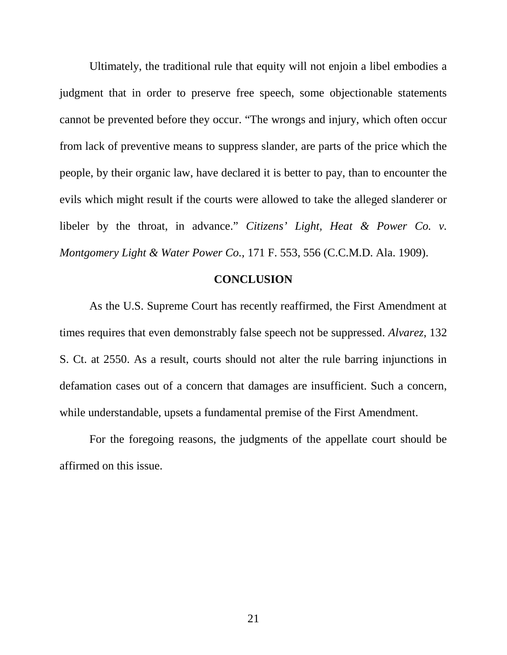<span id="page-28-0"></span>Ultimately, the traditional rule that equity will not enjoin a libel embodies a judgment that in order to preserve free speech, some objectionable statements cannot be prevented before they occur. "The wrongs and injury, which often occur from lack of preventive means to suppress slander, are parts of the price which the people, by their organic law, have declared it is better to pay, than to encounter the evils which might result if the courts were allowed to take the alleged slanderer or libeler by the throat, in advance." *Citizens' Light, Heat & Power Co. v. Montgomery Light & Water Power Co.,* 171 F. 553, 556 (C.C.M.D. Ala. 1909).

#### **CONCLUSION**

As the U.S. Supreme Court has recently reaffirmed, the First Amendment at times requires that even demonstrably false speech not be suppressed. *Alvarez*, 132 S. Ct. at 2550. As a result, courts should not alter the rule barring injunctions in defamation cases out of a concern that damages are insufficient. Such a concern, while understandable, upsets a fundamental premise of the First Amendment.

For the foregoing reasons, the judgments of the appellate court should be affirmed on this issue.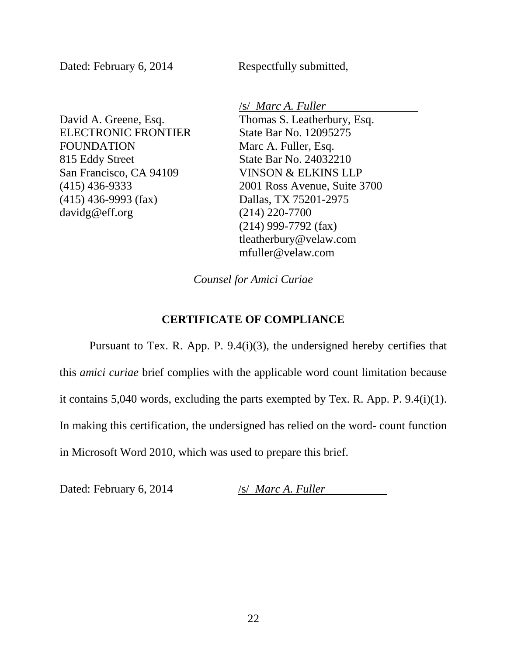<span id="page-29-0"></span>Dated: February 6, 2014 Respectfully submitted,

David A. Greene, Esq. ELECTRONIC FRONTIER FOUNDATION 815 Eddy Street San Francisco, CA 94109 (415) 436-9333 (415) 436-9993 (fax) davidg@eff.org

/s/ *Marc A. Fuller*

Thomas S. Leatherbury, Esq. State Bar No. 12095275 Marc A. Fuller, Esq. State Bar No. 24032210 VINSON & ELKINS LLP 2001 Ross Avenue, Suite 3700 Dallas, TX 75201-2975 (214) 220-7700 (214) 999-7792 (fax) tleatherbury@velaw.com [mfuller@velaw.com](mailto:mfuller@velaw.com)

*Counsel for Amici Curiae*

#### **CERTIFICATE OF COMPLIANCE**

Pursuant to Tex. R. App. P. 9.4(i)(3), the undersigned hereby certifies that this *amici curiae* brief complies with the applicable word count limitation because it contains 5,040 words, excluding the parts exempted by Tex. R. App. P. 9.4(i)(1). In making this certification, the undersigned has relied on the word- count function in Microsoft Word 2010, which was used to prepare this brief.

Dated: February 6, 2014 /s/ *Marc A. Fuller*